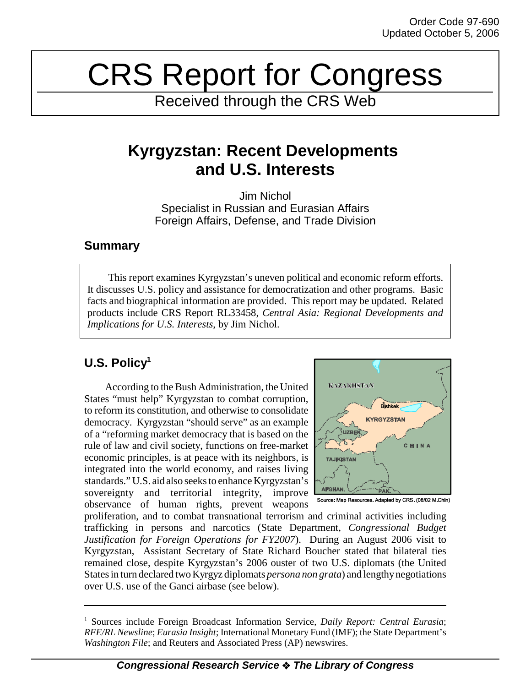# CRS Report for Congress

Received through the CRS Web

# **Kyrgyzstan: Recent Developments and U.S. Interests**

Jim Nichol Specialist in Russian and Eurasian Affairs Foreign Affairs, Defense, and Trade Division

## **Summary**

This report examines Kyrgyzstan's uneven political and economic reform efforts. It discusses U.S. policy and assistance for democratization and other programs. Basic facts and biographical information are provided. This report may be updated. Related products include CRS Report RL33458, *Central Asia: Regional Developments and Implications for U.S. Interests*, by Jim Nichol.

## **U.S. Policy1**

According to the Bush Administration, the United States "must help" Kyrgyzstan to combat corruption, to reform its constitution, and otherwise to consolidate democracy. Kyrgyzstan "should serve" as an example of a "reforming market democracy that is based on the rule of law and civil society, functions on free-market economic principles, is at peace with its neighbors, is integrated into the world economy, and raises living standards." U.S. aid also seeks to enhance Kyrgyzstan's sovereignty and territorial integrity, improve observance of human rights, prevent weapons



proliferation, and to combat transnational terrorism and criminal activities including trafficking in persons and narcotics (State Department, *Congressional Budget Justification for Foreign Operations for FY2007*). During an August 2006 visit to Kyrgyzstan, Assistant Secretary of State Richard Boucher stated that bilateral ties remained close, despite Kyrgyzstan's 2006 ouster of two U.S. diplomats (the United States in turn declared two Kyrgyz diplomats *persona non grata*) and lengthy negotiations over U.S. use of the Ganci airbase (see below).

<sup>&</sup>lt;sup>1</sup> Sources include Foreign Broadcast Information Service, Daily Report: Central Eurasia; *RFE/RL Newsline*; *Eurasia Insight*; International Monetary Fund (IMF); the State Department's *Washington File*; and Reuters and Associated Press (AP) newswires.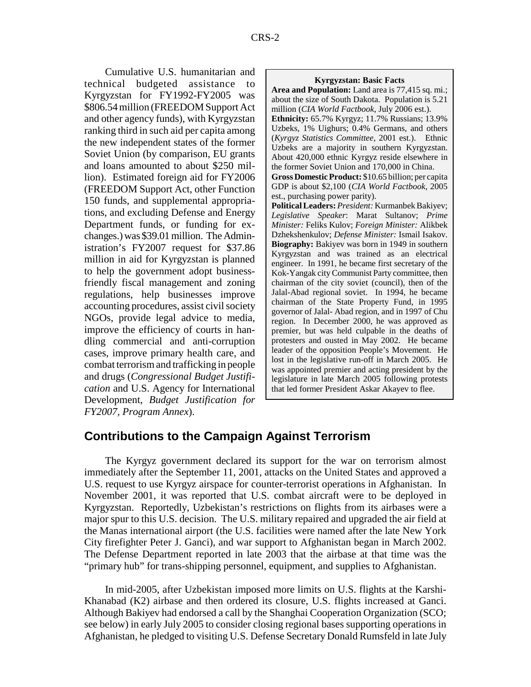Cumulative U.S. humanitarian and technical budgeted assistance to Kyrgyzstan for FY1992-FY2005 was \$806.54 million (FREEDOM Support Act and other agency funds), with Kyrgyzstan ranking third in such aid per capita among the new independent states of the former Soviet Union (by comparison, EU grants and loans amounted to about \$250 million). Estimated foreign aid for FY2006 (FREEDOM Support Act, other Function 150 funds, and supplemental appropriations, and excluding Defense and Energy Department funds, or funding for exchanges.) was \$39.01 million. The Administration's FY2007 request for \$37.86 million in aid for Kyrgyzstan is planned to help the government adopt businessfriendly fiscal management and zoning regulations, help businesses improve accounting procedures, assist civil society NGOs, provide legal advice to media, improve the efficiency of courts in handling commercial and anti-corruption cases, improve primary health care, and combat terrorism and trafficking in people and drugs (*Congressional Budget Justification* and U.S. Agency for International Development, *Budget Justification for FY2007, Program Annex*).

#### **Kyrgyzstan: Basic Facts**

**Area and Population:** Land area is 77,415 sq. mi.; about the size of South Dakota. Population is 5.21 million (*CIA World Factbook*, July 2006 est.). **Ethnicity:** 65.7% Kyrgyz; 11.7% Russians; 13.9% Uzbeks, 1% Uighurs; 0.4% Germans, and others (*Kyrgyz Statistics Committee*, 2001 est.). Ethnic Uzbeks are a majority in southern Kyrgyzstan. About 420,000 ethnic Kyrgyz reside elsewhere in the former Soviet Union and 170,000 in China. **Gross Domestic Product:** \$10.65 billion; per capita GDP is about \$2,100 (*CIA World Factbook*, 2005 est., purchasing power parity). **Political Leaders:** *President:* Kurmanbek Bakiyev; *Legislative Speaker*: Marat Sultanov; *Prime Minister:* Feliks Kulov; *Foreign Minister:* Alikbek Dzhekshenkulov; *Defense Minister:* Ismail Isakov. **Biography:** Bakiyev was born in 1949 in southern Kyrgyzstan and was trained as an electrical engineer. In 1991, he became first secretary of the Kok-Yangak city Communist Party committee, then chairman of the city soviet (council), then of the Jalal-Abad regional soviet. In 1994, he became chairman of the State Property Fund, in 1995 governor of Jalal- Abad region, and in 1997 of Chu region. In December 2000, he was approved as premier, but was held culpable in the deaths of protesters and ousted in May 2002. He became leader of the opposition People's Movement. He lost in the legislative run-off in March 2005. He was appointed premier and acting president by the legislature in late March 2005 following protests that led former President Askar Akayev to flee.

### **Contributions to the Campaign Against Terrorism**

The Kyrgyz government declared its support for the war on terrorism almost immediately after the September 11, 2001, attacks on the United States and approved a U.S. request to use Kyrgyz airspace for counter-terrorist operations in Afghanistan. In November 2001, it was reported that U.S. combat aircraft were to be deployed in Kyrgyzstan. Reportedly, Uzbekistan's restrictions on flights from its airbases were a major spur to this U.S. decision. The U.S. military repaired and upgraded the air field at the Manas international airport (the U.S. facilities were named after the late New York City firefighter Peter J. Ganci), and war support to Afghanistan began in March 2002. The Defense Department reported in late 2003 that the airbase at that time was the "primary hub" for trans-shipping personnel, equipment, and supplies to Afghanistan.

In mid-2005, after Uzbekistan imposed more limits on U.S. flights at the Karshi-Khanabad (K2) airbase and then ordered its closure, U.S. flights increased at Ganci. Although Bakiyev had endorsed a call by the Shanghai Cooperation Organization (SCO; see below) in early July 2005 to consider closing regional bases supporting operations in Afghanistan, he pledged to visiting U.S. Defense Secretary Donald Rumsfeld in late July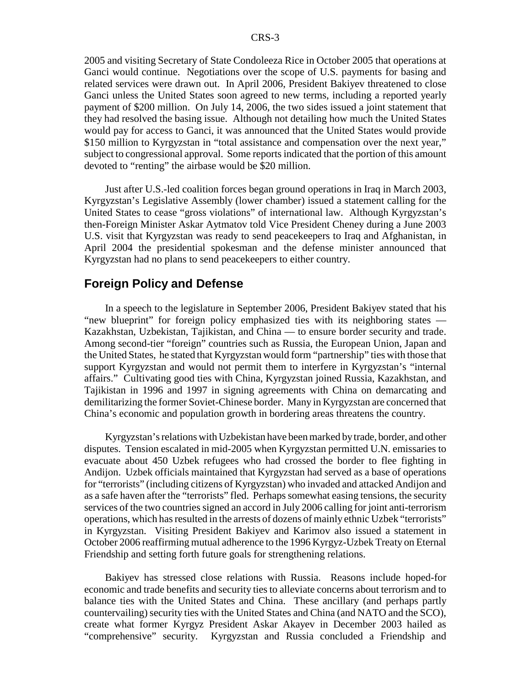2005 and visiting Secretary of State Condoleeza Rice in October 2005 that operations at Ganci would continue. Negotiations over the scope of U.S. payments for basing and related services were drawn out. In April 2006, President Bakiyev threatened to close Ganci unless the United States soon agreed to new terms, including a reported yearly payment of \$200 million. On July 14, 2006, the two sides issued a joint statement that they had resolved the basing issue. Although not detailing how much the United States would pay for access to Ganci, it was announced that the United States would provide \$150 million to Kyrgyzstan in "total assistance and compensation over the next year," subject to congressional approval. Some reports indicated that the portion of this amount devoted to "renting" the airbase would be \$20 million.

Just after U.S.-led coalition forces began ground operations in Iraq in March 2003, Kyrgyzstan's Legislative Assembly (lower chamber) issued a statement calling for the United States to cease "gross violations" of international law. Although Kyrgyzstan's then-Foreign Minister Askar Aytmatov told Vice President Cheney during a June 2003 U.S. visit that Kyrgyzstan was ready to send peacekeepers to Iraq and Afghanistan, in April 2004 the presidential spokesman and the defense minister announced that Kyrgyzstan had no plans to send peacekeepers to either country.

#### **Foreign Policy and Defense**

In a speech to the legislature in September 2006, President Bakiyev stated that his "new blueprint" for foreign policy emphasized ties with its neighboring states — Kazakhstan, Uzbekistan, Tajikistan, and China — to ensure border security and trade. Among second-tier "foreign" countries such as Russia, the European Union, Japan and the United States, he stated that Kyrgyzstan would form "partnership" ties with those that support Kyrgyzstan and would not permit them to interfere in Kyrgyzstan's "internal affairs." Cultivating good ties with China, Kyrgyzstan joined Russia, Kazakhstan, and Tajikistan in 1996 and 1997 in signing agreements with China on demarcating and demilitarizing the former Soviet-Chinese border. Many in Kyrgyzstan are concerned that China's economic and population growth in bordering areas threatens the country.

Kyrgyzstan's relations with Uzbekistan have been marked by trade, border, and other disputes. Tension escalated in mid-2005 when Kyrgyzstan permitted U.N. emissaries to evacuate about 450 Uzbek refugees who had crossed the border to flee fighting in Andijon. Uzbek officials maintained that Kyrgyzstan had served as a base of operations for "terrorists" (including citizens of Kyrgyzstan) who invaded and attacked Andijon and as a safe haven after the "terrorists" fled. Perhaps somewhat easing tensions, the security services of the two countries signed an accord in July 2006 calling for joint anti-terrorism operations, which has resulted in the arrests of dozens of mainly ethnic Uzbek "terrorists" in Kyrgyzstan. Visiting President Bakiyev and Karimov also issued a statement in October 2006 reaffirming mutual adherence to the 1996 Kyrgyz-Uzbek Treaty on Eternal Friendship and setting forth future goals for strengthening relations.

Bakiyev has stressed close relations with Russia. Reasons include hoped-for economic and trade benefits and security ties to alleviate concerns about terrorism and to balance ties with the United States and China. These ancillary (and perhaps partly countervailing) security ties with the United States and China (and NATO and the SCO), create what former Kyrgyz President Askar Akayev in December 2003 hailed as "comprehensive" security. Kyrgyzstan and Russia concluded a Friendship and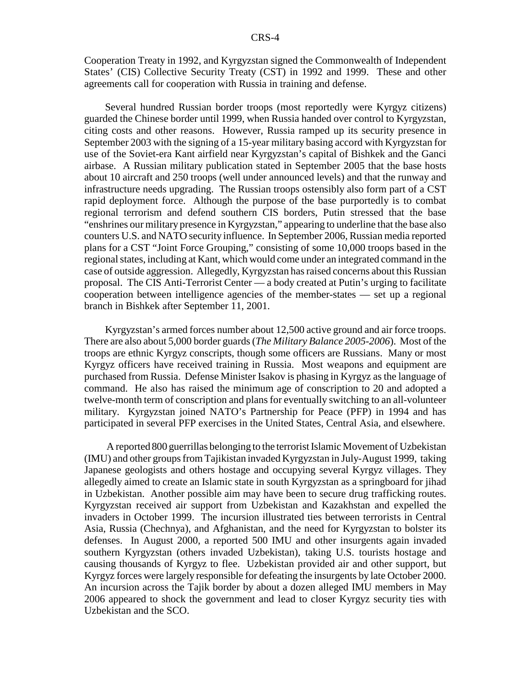Cooperation Treaty in 1992, and Kyrgyzstan signed the Commonwealth of Independent States' (CIS) Collective Security Treaty (CST) in 1992 and 1999. These and other agreements call for cooperation with Russia in training and defense.

Several hundred Russian border troops (most reportedly were Kyrgyz citizens) guarded the Chinese border until 1999, when Russia handed over control to Kyrgyzstan, citing costs and other reasons. However, Russia ramped up its security presence in September 2003 with the signing of a 15-year military basing accord with Kyrgyzstan for use of the Soviet-era Kant airfield near Kyrgyzstan's capital of Bishkek and the Ganci airbase. A Russian military publication stated in September 2005 that the base hosts about 10 aircraft and 250 troops (well under announced levels) and that the runway and infrastructure needs upgrading. The Russian troops ostensibly also form part of a CST rapid deployment force. Although the purpose of the base purportedly is to combat regional terrorism and defend southern CIS borders, Putin stressed that the base "enshrines our military presence in Kyrgyzstan," appearing to underline that the base also counters U.S. and NATO security influence. In September 2006, Russian media reported plans for a CST "Joint Force Grouping," consisting of some 10,000 troops based in the regional states, including at Kant, which would come under an integrated command in the case of outside aggression. Allegedly, Kyrgyzstan has raised concerns about this Russian proposal. The CIS Anti-Terrorist Center — a body created at Putin's urging to facilitate cooperation between intelligence agencies of the member-states — set up a regional branch in Bishkek after September 11, 2001.

Kyrgyzstan's armed forces number about 12,500 active ground and air force troops. There are also about 5,000 border guards (*The Military Balance 2005-2006*). Most of the troops are ethnic Kyrgyz conscripts, though some officers are Russians. Many or most Kyrgyz officers have received training in Russia. Most weapons and equipment are purchased from Russia. Defense Minister Isakov is phasing in Kyrgyz as the language of command. He also has raised the minimum age of conscription to 20 and adopted a twelve-month term of conscription and plans for eventually switching to an all-volunteer military. Kyrgyzstan joined NATO's Partnership for Peace (PFP) in 1994 and has participated in several PFP exercises in the United States, Central Asia, and elsewhere.

 A reported 800 guerrillas belonging to the terrorist Islamic Movement of Uzbekistan (IMU) and other groups from Tajikistan invaded Kyrgyzstan in July-August 1999, taking Japanese geologists and others hostage and occupying several Kyrgyz villages. They allegedly aimed to create an Islamic state in south Kyrgyzstan as a springboard for jihad in Uzbekistan. Another possible aim may have been to secure drug trafficking routes. Kyrgyzstan received air support from Uzbekistan and Kazakhstan and expelled the invaders in October 1999. The incursion illustrated ties between terrorists in Central Asia, Russia (Chechnya), and Afghanistan, and the need for Kyrgyzstan to bolster its defenses. In August 2000, a reported 500 IMU and other insurgents again invaded southern Kyrgyzstan (others invaded Uzbekistan), taking U.S. tourists hostage and causing thousands of Kyrgyz to flee. Uzbekistan provided air and other support, but Kyrgyz forces were largely responsible for defeating the insurgents by late October 2000. An incursion across the Tajik border by about a dozen alleged IMU members in May 2006 appeared to shock the government and lead to closer Kyrgyz security ties with Uzbekistan and the SCO.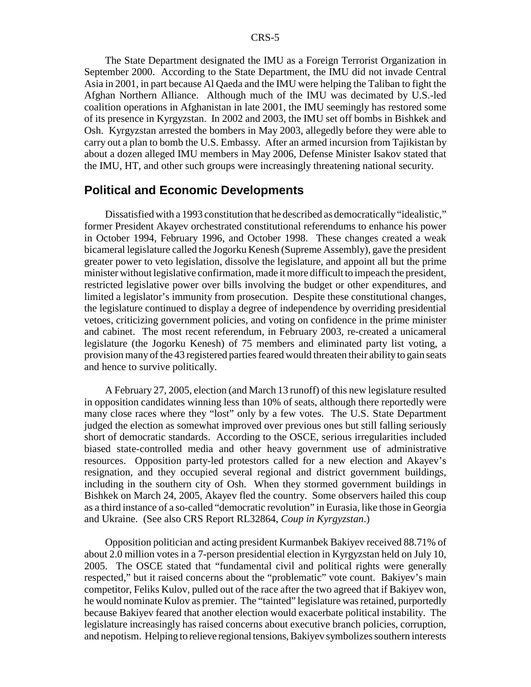The State Department designated the IMU as a Foreign Terrorist Organization in September 2000. According to the State Department, the IMU did not invade Central Asia in 2001, in part because Al Qaeda and the IMU were helping the Taliban to fight the Afghan Northern Alliance. Although much of the IMU was decimated by U.S.-led coalition operations in Afghanistan in late 2001, the IMU seemingly has restored some of its presence in Kyrgyzstan. In 2002 and 2003, the IMU set off bombs in Bishkek and Osh. Kyrgyzstan arrested the bombers in May 2003, allegedly before they were able to carry out a plan to bomb the U.S. Embassy. After an armed incursion from Tajikistan by about a dozen alleged IMU members in May 2006, Defense Minister Isakov stated that the IMU, HT, and other such groups were increasingly threatening national security.

#### **Political and Economic Developments**

Dissatisfied with a 1993 constitution that he described as democratically "idealistic," former President Akayev orchestrated constitutional referendums to enhance his power in October 1994, February 1996, and October 1998. These changes created a weak bicameral legislature called the Jogorku Kenesh (Supreme Assembly), gave the president greater power to veto legislation, dissolve the legislature, and appoint all but the prime minister without legislative confirmation, made it more difficult to impeach the president, restricted legislative power over bills involving the budget or other expenditures, and limited a legislator's immunity from prosecution. Despite these constitutional changes, the legislature continued to display a degree of independence by overriding presidential vetoes, criticizing government policies, and voting on confidence in the prime minister and cabinet. The most recent referendum, in February 2003, re-created a unicameral legislature (the Jogorku Kenesh) of 75 members and eliminated party list voting, a provision many of the 43 registered parties feared would threaten their ability to gain seats and hence to survive politically.

A February 27, 2005, election (and March 13 runoff) of this new legislature resulted in opposition candidates winning less than 10% of seats, although there reportedly were many close races where they "lost" only by a few votes. The U.S. State Department judged the election as somewhat improved over previous ones but still falling seriously short of democratic standards. According to the OSCE, serious irregularities included biased state-controlled media and other heavy government use of administrative resources. Opposition party-led protestors called for a new election and Akayev's resignation, and they occupied several regional and district government buildings, including in the southern city of Osh. When they stormed government buildings in Bishkek on March 24, 2005, Akayev fled the country. Some observers hailed this coup as a third instance of a so-called "democratic revolution" in Eurasia, like those in Georgia and Ukraine. (See also CRS Report RL32864, *Coup in Kyrgyzstan*.)

Opposition politician and acting president Kurmanbek Bakiyev received 88.71% of about 2.0 million votes in a 7-person presidential election in Kyrgyzstan held on July 10, 2005. The OSCE stated that "fundamental civil and political rights were generally respected," but it raised concerns about the "problematic" vote count. Bakiyev's main competitor, Feliks Kulov, pulled out of the race after the two agreed that if Bakiyev won, he would nominate Kulov as premier. The "tainted" legislature was retained, purportedly because Bakiyev feared that another election would exacerbate political instability. The legislature increasingly has raised concerns about executive branch policies, corruption, and nepotism. Helping to relieve regional tensions, Bakiyev symbolizes southern interests